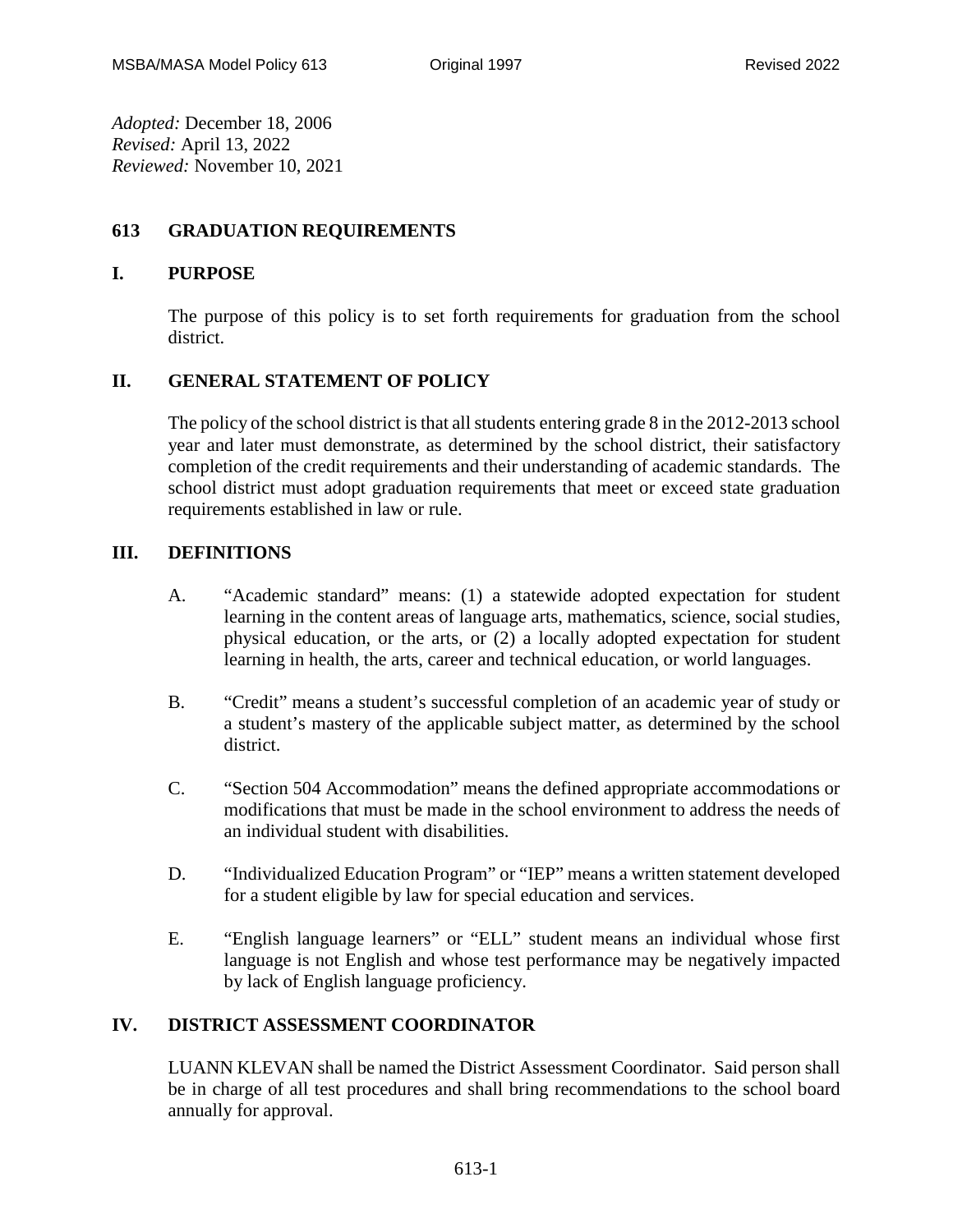*Adopted:* December 18, 2006 *Revised:* April 13, 2022 *Reviewed:* November 10, 2021

## **613 GRADUATION REQUIREMENTS**

## **I. PURPOSE**

The purpose of this policy is to set forth requirements for graduation from the school district.

# **II. GENERAL STATEMENT OF POLICY**

The policy of the school district is that all students entering grade 8 in the 2012-2013 school year and later must demonstrate, as determined by the school district, their satisfactory completion of the credit requirements and their understanding of academic standards. The school district must adopt graduation requirements that meet or exceed state graduation requirements established in law or rule.

## **III. DEFINITIONS**

- A. "Academic standard" means: (1) a statewide adopted expectation for student learning in the content areas of language arts, mathematics, science, social studies, physical education, or the arts, or (2) a locally adopted expectation for student learning in health, the arts, career and technical education, or world languages.
- B. "Credit" means a student's successful completion of an academic year of study or a student's mastery of the applicable subject matter, as determined by the school district.
- C. "Section 504 Accommodation" means the defined appropriate accommodations or modifications that must be made in the school environment to address the needs of an individual student with disabilities.
- D. "Individualized Education Program" or "IEP" means a written statement developed for a student eligible by law for special education and services.
- E. "English language learners" or "ELL" student means an individual whose first language is not English and whose test performance may be negatively impacted by lack of English language proficiency.

#### **IV. DISTRICT ASSESSMENT COORDINATOR**

LUANN KLEVAN shall be named the District Assessment Coordinator. Said person shall be in charge of all test procedures and shall bring recommendations to the school board annually for approval.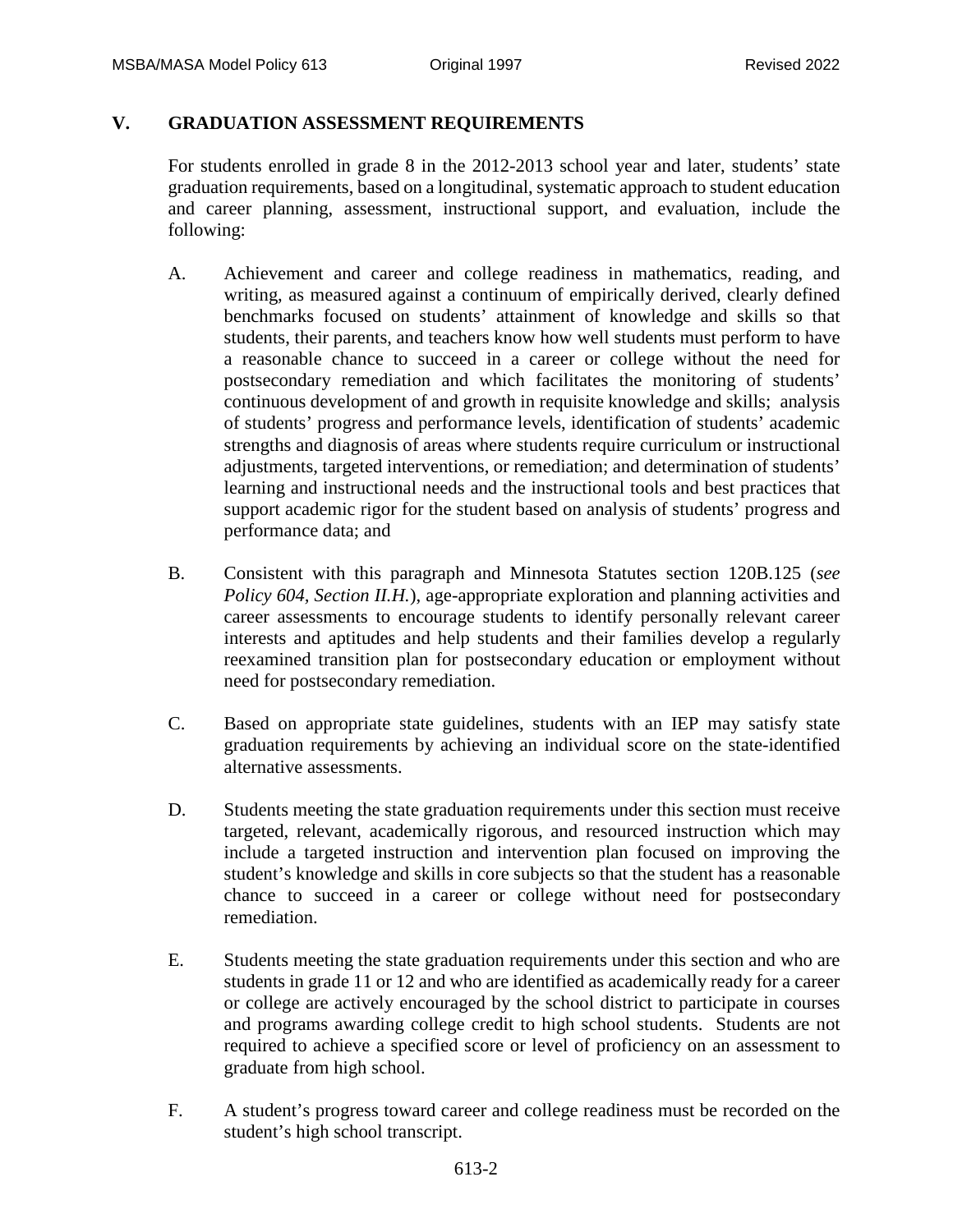# **V. GRADUATION ASSESSMENT REQUIREMENTS**

For students enrolled in grade 8 in the 2012-2013 school year and later, students' state graduation requirements, based on a longitudinal, systematic approach to student education and career planning, assessment, instructional support, and evaluation, include the following:

- A. Achievement and career and college readiness in mathematics, reading, and writing, as measured against a continuum of empirically derived, clearly defined benchmarks focused on students' attainment of knowledge and skills so that students, their parents, and teachers know how well students must perform to have a reasonable chance to succeed in a career or college without the need for postsecondary remediation and which facilitates the monitoring of students' continuous development of and growth in requisite knowledge and skills; analysis of students' progress and performance levels, identification of students' academic strengths and diagnosis of areas where students require curriculum or instructional adjustments, targeted interventions, or remediation; and determination of students' learning and instructional needs and the instructional tools and best practices that support academic rigor for the student based on analysis of students' progress and performance data; and
- B. Consistent with this paragraph and Minnesota Statutes section 120B.125 (*see Policy 604, Section II.H.*), age-appropriate exploration and planning activities and career assessments to encourage students to identify personally relevant career interests and aptitudes and help students and their families develop a regularly reexamined transition plan for postsecondary education or employment without need for postsecondary remediation.
- C. Based on appropriate state guidelines, students with an IEP may satisfy state graduation requirements by achieving an individual score on the state-identified alternative assessments.
- D. Students meeting the state graduation requirements under this section must receive targeted, relevant, academically rigorous, and resourced instruction which may include a targeted instruction and intervention plan focused on improving the student's knowledge and skills in core subjects so that the student has a reasonable chance to succeed in a career or college without need for postsecondary remediation.
- E. Students meeting the state graduation requirements under this section and who are students in grade 11 or 12 and who are identified as academically ready for a career or college are actively encouraged by the school district to participate in courses and programs awarding college credit to high school students. Students are not required to achieve a specified score or level of proficiency on an assessment to graduate from high school.
- F. A student's progress toward career and college readiness must be recorded on the student's high school transcript.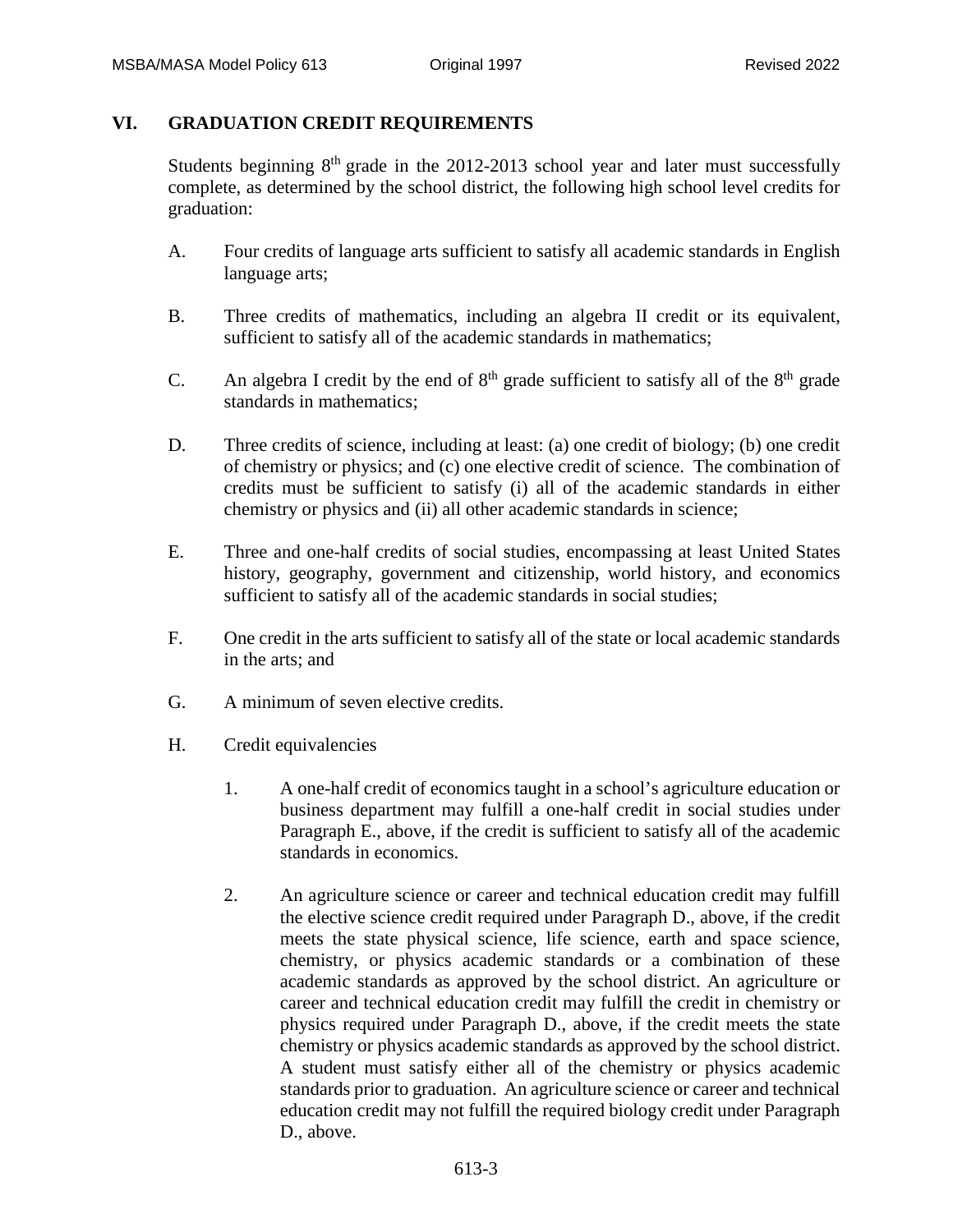#### **VI. GRADUATION CREDIT REQUIREMENTS**

Students beginning  $8<sup>th</sup>$  grade in the 2012-2013 school year and later must successfully complete, as determined by the school district, the following high school level credits for graduation:

- A. Four credits of language arts sufficient to satisfy all academic standards in English language arts;
- B. Three credits of mathematics, including an algebra II credit or its equivalent, sufficient to satisfy all of the academic standards in mathematics;
- C. An algebra I credit by the end of  $8<sup>th</sup>$  grade sufficient to satisfy all of the  $8<sup>th</sup>$  grade standards in mathematics;
- D. Three credits of science, including at least: (a) one credit of biology; (b) one credit of chemistry or physics; and (c) one elective credit of science. The combination of credits must be sufficient to satisfy (i) all of the academic standards in either chemistry or physics and (ii) all other academic standards in science;
- E. Three and one-half credits of social studies, encompassing at least United States history, geography, government and citizenship, world history, and economics sufficient to satisfy all of the academic standards in social studies;
- F. One credit in the arts sufficient to satisfy all of the state or local academic standards in the arts; and
- G. A minimum of seven elective credits.
- H. Credit equivalencies
	- 1. A one-half credit of economics taught in a school's agriculture education or business department may fulfill a one-half credit in social studies under Paragraph E., above, if the credit is sufficient to satisfy all of the academic standards in economics.
	- 2. An agriculture science or career and technical education credit may fulfill the elective science credit required under Paragraph D., above, if the credit meets the state physical science, life science, earth and space science, chemistry, or physics academic standards or a combination of these academic standards as approved by the school district. An agriculture or career and technical education credit may fulfill the credit in chemistry or physics required under Paragraph D., above, if the credit meets the state chemistry or physics academic standards as approved by the school district. A student must satisfy either all of the chemistry or physics academic standards prior to graduation. An agriculture science or career and technical education credit may not fulfill the required biology credit under Paragraph D., above.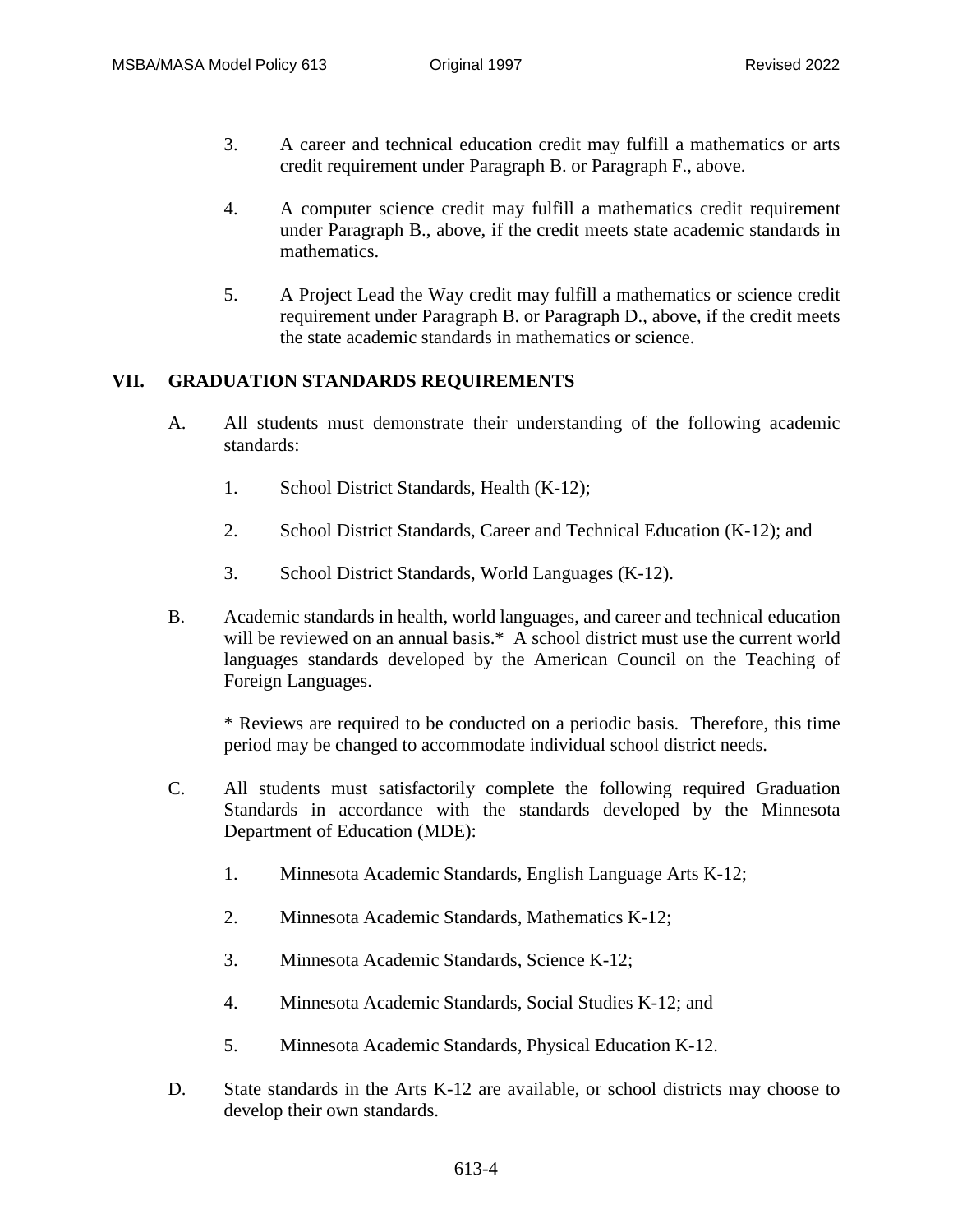- 3. A career and technical education credit may fulfill a mathematics or arts credit requirement under Paragraph B. or Paragraph F., above.
- 4. A computer science credit may fulfill a mathematics credit requirement under Paragraph B., above, if the credit meets state academic standards in mathematics.
- 5. A Project Lead the Way credit may fulfill a mathematics or science credit requirement under Paragraph B. or Paragraph D., above, if the credit meets the state academic standards in mathematics or science.

## **VII. GRADUATION STANDARDS REQUIREMENTS**

- A. All students must demonstrate their understanding of the following academic standards:
	- 1. School District Standards, Health (K-12);
	- 2. School District Standards, Career and Technical Education (K-12); and
	- 3. School District Standards, World Languages (K-12).
- B. Academic standards in health, world languages, and career and technical education will be reviewed on an annual basis.\* A school district must use the current world languages standards developed by the American Council on the Teaching of Foreign Languages.

\* Reviews are required to be conducted on a periodic basis. Therefore, this time period may be changed to accommodate individual school district needs.

- C. All students must satisfactorily complete the following required Graduation Standards in accordance with the standards developed by the Minnesota Department of Education (MDE):
	- 1. Minnesota Academic Standards, English Language Arts K-12;
	- 2. Minnesota Academic Standards, Mathematics K-12;
	- 3. Minnesota Academic Standards, Science K-12;
	- 4. Minnesota Academic Standards, Social Studies K-12; and
	- 5. Minnesota Academic Standards, Physical Education K-12.
- D. State standards in the Arts K-12 are available, or school districts may choose to develop their own standards.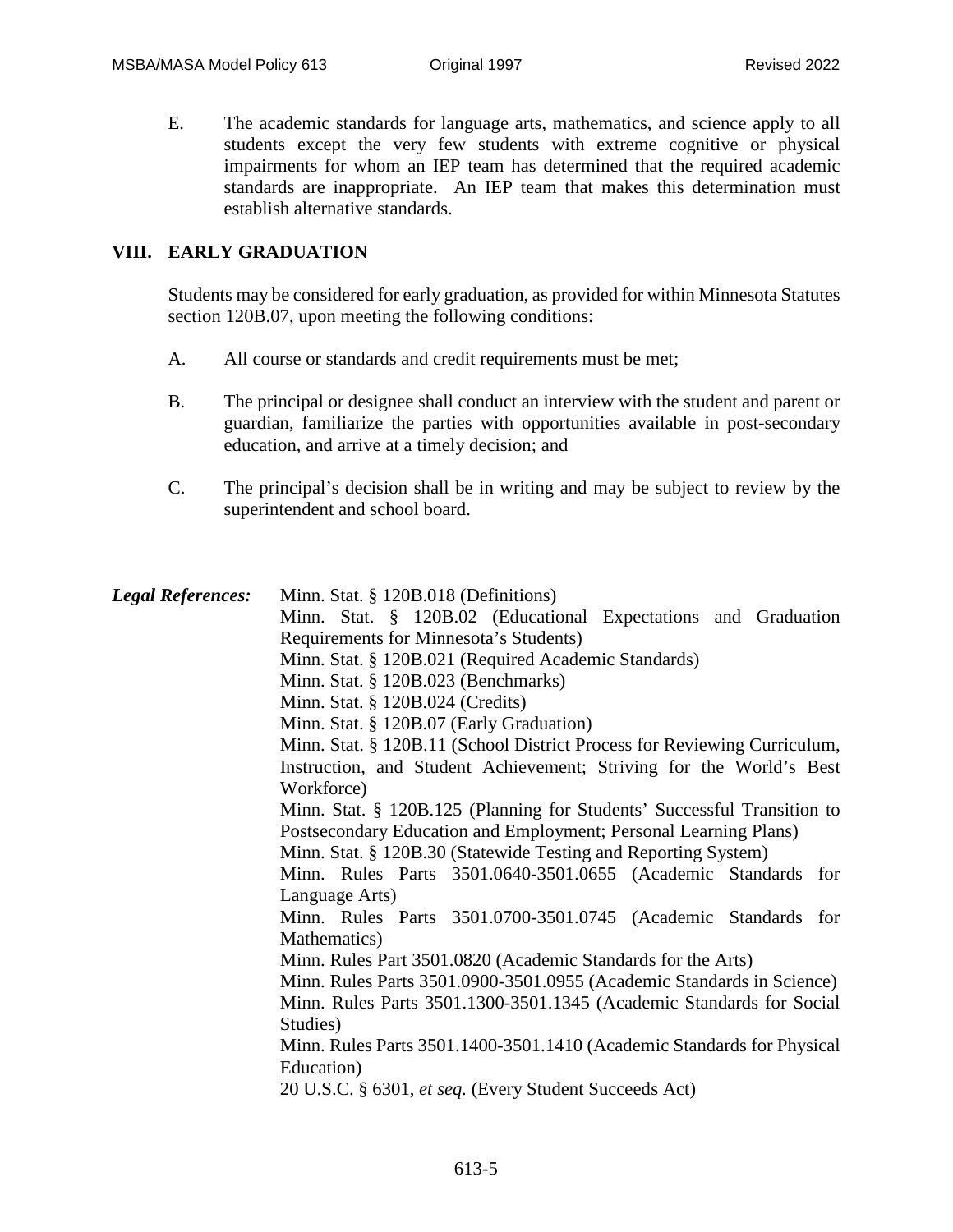E. The academic standards for language arts, mathematics, and science apply to all students except the very few students with extreme cognitive or physical impairments for whom an IEP team has determined that the required academic standards are inappropriate. An IEP team that makes this determination must establish alternative standards.

#### **VIII. EARLY GRADUATION**

Students may be considered for early graduation, as provided for within Minnesota Statutes section 120B.07, upon meeting the following conditions:

- A. All course or standards and credit requirements must be met;
- B. The principal or designee shall conduct an interview with the student and parent or guardian, familiarize the parties with opportunities available in post-secondary education, and arrive at a timely decision; and
- C. The principal's decision shall be in writing and may be subject to review by the superintendent and school board.

| <b>Legal References:</b> | Minn. Stat. § 120B.018 (Definitions)<br>Minn. Stat. § 120B.02 (Educational Expectations and Graduation<br>Requirements for Minnesota's Students) |
|--------------------------|--------------------------------------------------------------------------------------------------------------------------------------------------|
|                          | Minn. Stat. § 120B.021 (Required Academic Standards)<br>Minn. Stat. § 120B.023 (Benchmarks)                                                      |
|                          | Minn. Stat. § 120B.024 (Credits)                                                                                                                 |
|                          | Minn. Stat. § 120B.07 (Early Graduation)                                                                                                         |
|                          | Minn. Stat. § 120B.11 (School District Process for Reviewing Curriculum,                                                                         |
|                          | Instruction, and Student Achievement; Striving for the World's Best                                                                              |
|                          | Workforce)                                                                                                                                       |
|                          | Minn. Stat. § 120B.125 (Planning for Students' Successful Transition to                                                                          |
|                          | Postsecondary Education and Employment; Personal Learning Plans)                                                                                 |
|                          | Minn. Stat. § 120B.30 (Statewide Testing and Reporting System)                                                                                   |
|                          | Minn. Rules Parts 3501.0640-3501.0655 (Academic Standards for                                                                                    |
|                          | Language Arts)                                                                                                                                   |
|                          | Minn. Rules Parts 3501.0700-3501.0745 (Academic Standards for<br>Mathematics)                                                                    |
|                          | Minn. Rules Part 3501.0820 (Academic Standards for the Arts)                                                                                     |
|                          | Minn. Rules Parts 3501.0900-3501.0955 (Academic Standards in Science)                                                                            |
|                          | Minn. Rules Parts 3501.1300-3501.1345 (Academic Standards for Social                                                                             |
|                          | Studies)                                                                                                                                         |
|                          | Minn. Rules Parts 3501.1400-3501.1410 (Academic Standards for Physical                                                                           |
|                          | Education)                                                                                                                                       |
|                          | 20 U.S.C. § 6301, et seq. (Every Student Succeeds Act)                                                                                           |